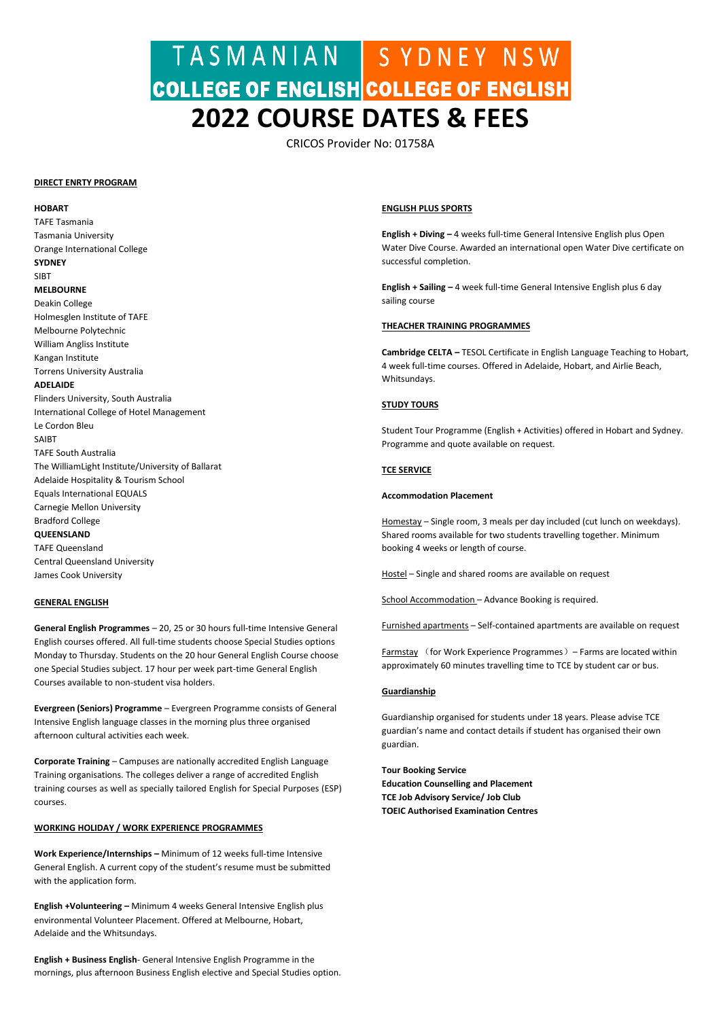# **2022 COURSE DATES & FEES**

CRICOS Provider No: 01758A

### **DIRECT ENRTY PROGRAM**

## **HOBART**

TAFE Tasmania Tasmania University Orange International College **SYDNEY SIRT MELBOURNE** Deakin College Holmesglen Institute of TAFE Melbourne Polytechnic William Angliss Institute Kangan Institute Torrens University Australia **ADELAIDE** Flinders University, South Australia International College of Hotel Management Le Cordon Bleu **SAIRT** TAFE South Australia The WilliamLight Institute/University of Ballarat Adelaide Hospitality & Tourism School Equals International EQUALS Carnegie Mellon University Bradford College **QUEENSLAND** TAFE Queensland Central Queensland University James Cook University

## **GENERAL ENGLISH**

**General English Programmes** – 20, 25 or 30 hours full-time Intensive General English courses offered. All full-time students choose Special Studies options Monday to Thursday. Students on the 20 hour General English Course choose one Special Studies subject. 17 hour per week part-time General English Courses available to non-student visa holders.

**Evergreen (Seniors) Programme** – Evergreen Programme consists of General Intensive English language classes in the morning plus three organised afternoon cultural activities each week.

**Corporate Training** – Campuses are nationally accredited English Language Training organisations. The colleges deliver a range of accredited English training courses as well as specially tailored English for Special Purposes (ESP) courses.

## **WORKING HOLIDAY / WORK EXPERIENCE PROGRAMMES**

**Work Experience/Internships –** Minimum of 12 weeks full-time Intensive General English. A current copy of the student's resume must be submitted with the application form.

**English +Volunteering –** Minimum 4 weeks General Intensive English plus environmental Volunteer Placement. Offered at Melbourne, Hobart, Adelaide and the Whitsundays.

**English + Business English**- General Intensive English Programme in the mornings, plus afternoon Business English elective and Special Studies option.

## **ENGLISH PLUS SPORTS**

**English + Diving –** 4 weeks full-time General Intensive English plus Open Water Dive Course. Awarded an international open Water Dive certificate on successful completion.

**English + Sailing –** 4 week full-time General Intensive English plus 6 day sailing course

#### **THEACHER TRAINING PROGRAMMES**

**Cambridge CELTA –** TESOL Certificate in English Language Teaching to Hobart, 4 week full-time courses. Offered in Adelaide, Hobart, and Airlie Beach, Whitsundays.

## **STUDY TOURS**

Student Tour Programme (English + Activities) offered in Hobart and Sydney. Programme and quote available on request.

## **TCE SERVICE**

## **Accommodation Placement**

Homestay - Single room, 3 meals per day included (cut lunch on weekdays). Shared rooms available for two students travelling together. Minimum booking 4 weeks or length of course.

Hostel – Single and shared rooms are available on request

School Accommodation - Advance Booking is required.

Furnished apartments – Self-contained apartments are available on request

Farmstay (for Work Experience Programmes)– Farms are located within approximately 60 minutes travelling time to TCE by student car or bus.

#### **Guardianship**

Guardianship organised for students under 18 years. Please advise TCE guardian's name and contact details if student has organised their own guardian.

**Tour Booking Service Education Counselling and Placement TCE Job Advisory Service/ Job Club TOEIC Authorised Examination Centres**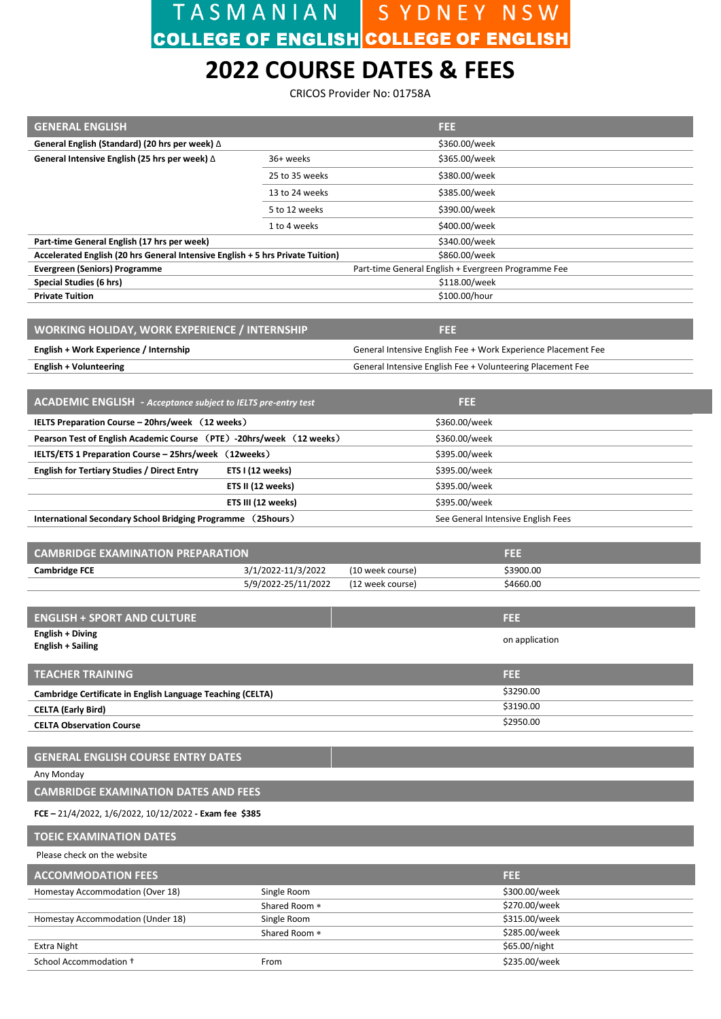## **2022 COURSE DATES & FEES**

CRICOS Provider No: 01758A

| <b>GENERAL ENGLISH</b>                                                         |                     | FEE              |                                                               |
|--------------------------------------------------------------------------------|---------------------|------------------|---------------------------------------------------------------|
| General English (Standard) (20 hrs per week) ∆                                 |                     |                  | \$360.00/week                                                 |
| General Intensive English (25 hrs per week) $\Delta$                           | 36+ weeks           |                  | \$365.00/week                                                 |
|                                                                                | 25 to 35 weeks      |                  | \$380.00/week                                                 |
|                                                                                | 13 to 24 weeks      |                  | \$385.00/week                                                 |
|                                                                                | 5 to 12 weeks       |                  | \$390.00/week                                                 |
|                                                                                | 1 to 4 weeks        |                  | \$400.00/week                                                 |
| Part-time General English (17 hrs per week)                                    |                     |                  | \$340.00/week                                                 |
| Accelerated English (20 hrs General Intensive English + 5 hrs Private Tuition) |                     |                  | \$860.00/week                                                 |
| <b>Evergreen (Seniors) Programme</b>                                           |                     |                  | Part-time General English + Evergreen Programme Fee           |
| <b>Special Studies (6 hrs)</b>                                                 |                     |                  | \$118.00/week                                                 |
| <b>Private Tuition</b>                                                         |                     |                  | \$100.00/hour                                                 |
| <b>WORKING HOLIDAY, WORK EXPERIENCE / INTERNSHIP</b>                           |                     | FEE.             |                                                               |
| English + Work Experience / Internship                                         |                     |                  | General Intensive English Fee + Work Experience Placement Fee |
| <b>English + Volunteering</b>                                                  |                     |                  | General Intensive English Fee + Volunteering Placement Fee    |
|                                                                                |                     |                  |                                                               |
| ACADEMIC ENGLISH - Acceptance subject to IELTS pre-entry test                  |                     |                  | <b>FEE</b>                                                    |
| IELTS Preparation Course - 20hrs/week (12 weeks)                               |                     |                  | \$360.00/week                                                 |
| Pearson Test of English Academic Course (PTE) -20hrs/week (12 weeks)           |                     |                  | \$360.00/week                                                 |
| IELTS/ETS 1 Preparation Course - 25hrs/week (12weeks)                          |                     |                  | \$395.00/week                                                 |
| <b>English for Tertiary Studies / Direct Entry</b>                             | ETS I (12 weeks)    |                  | \$395.00/week                                                 |
|                                                                                | ETS II (12 weeks)   |                  | \$395.00/week                                                 |
|                                                                                | ETS III (12 weeks)  |                  | \$395.00/week                                                 |
| International Secondary School Bridging Programme (25hours)                    |                     |                  | See General Intensive English Fees                            |
|                                                                                |                     |                  |                                                               |
| <b>CAMBRIDGE EXAMINATION PREPARATION</b>                                       |                     |                  | FEE                                                           |
| <b>Cambridge FCE</b>                                                           | 3/1/2022-11/3/2022  | (10 week course) | \$3900.00                                                     |
|                                                                                | 5/9/2022-25/11/2022 | (12 week course) | \$4660.00                                                     |
|                                                                                |                     |                  |                                                               |
| <b>ENGLISH + SPORT AND CULTURE</b><br>English + Diving                         |                     |                  | FEE.                                                          |
| English + Sailing                                                              |                     |                  | on application                                                |
|                                                                                |                     |                  |                                                               |
| <b>TEACHER TRAINING</b>                                                        |                     |                  | FEE.                                                          |
| Cambridge Certificate in English Language Teaching (CELTA)                     |                     |                  | \$3290.00                                                     |
| <b>CELTA (Early Bird)</b>                                                      |                     |                  | \$3190.00                                                     |
| <b>CELTA Observation Course</b>                                                |                     |                  | \$2950.00                                                     |
|                                                                                |                     |                  |                                                               |
| <b>GENERAL ENGLISH COURSE ENTRY DATES</b>                                      |                     |                  |                                                               |
| Any Monday                                                                     |                     |                  |                                                               |
| <b>CAMBRIDGE EXAMINATION DATES AND FEES</b>                                    |                     |                  |                                                               |
| FCE - 21/4/2022, 1/6/2022, 10/12/2022 - Exam fee \$385                         |                     |                  |                                                               |
| <b>TOEIC EXAMINATION DATES</b>                                                 |                     |                  |                                                               |
| Please check on the website                                                    |                     |                  |                                                               |
| <b>ACCOMMODATION FEES</b>                                                      |                     |                  | <b>FEE</b>                                                    |
| Homestay Accommodation (Over 18)                                               | Single Room         |                  | \$300.00/week                                                 |
|                                                                                | Shared Room *       |                  | \$270.00/week                                                 |
| Homestay Accommodation (Under 18)                                              | Single Room         |                  | \$315.00/week                                                 |
| <b>Extra Night</b>                                                             | Shared Room *       |                  | \$285.00/week<br>\$65.00/night                                |
| School Accommodation +                                                         | From                |                  | \$235.00/week                                                 |
|                                                                                |                     |                  |                                                               |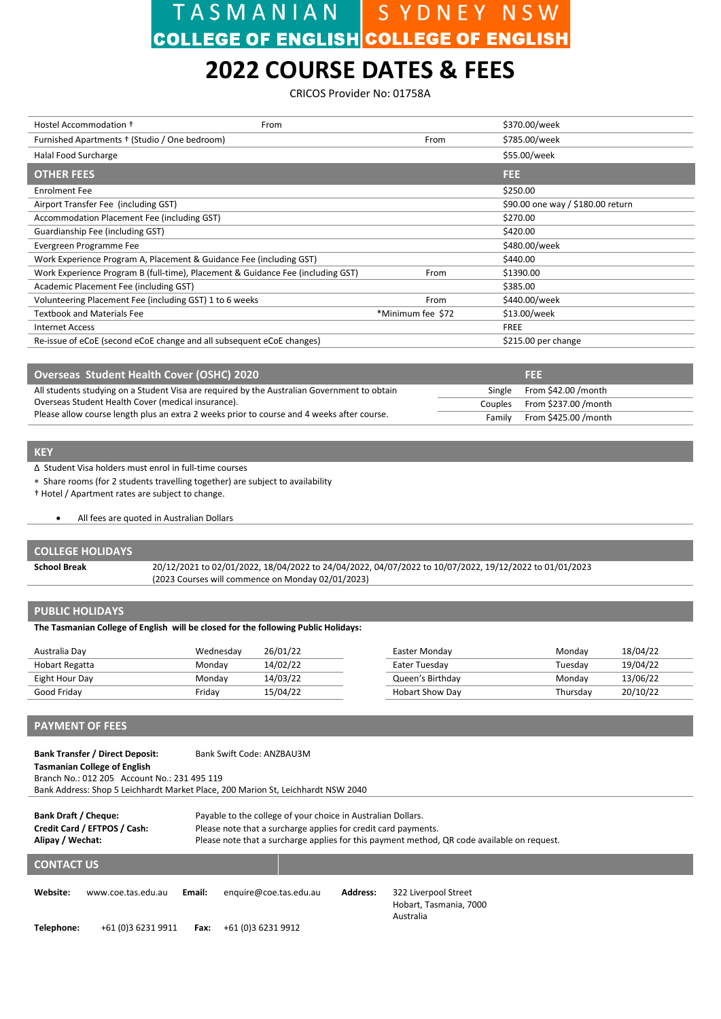## **2022 COURSE DATES & FEES**

CRICOS Provider No: 01758A

| Hostel Accommodation +                                                          | From |                   | \$370.00/week                     |
|---------------------------------------------------------------------------------|------|-------------------|-----------------------------------|
| Furnished Apartments + (Studio / One bedroom)                                   |      | From              | \$785.00/week                     |
| Halal Food Surcharge                                                            |      |                   | \$55.00/week                      |
| <b>OTHER FEES</b>                                                               |      |                   | FEE                               |
| <b>Enrolment Fee</b>                                                            |      |                   | \$250.00                          |
| Airport Transfer Fee (including GST)                                            |      |                   | \$90.00 one way / \$180.00 return |
| Accommodation Placement Fee (including GST)                                     |      |                   | \$270.00                          |
| Guardianship Fee (including GST)                                                |      |                   | \$420.00                          |
| Evergreen Programme Fee                                                         |      |                   | \$480.00/week                     |
| Work Experience Program A, Placement & Guidance Fee (including GST)             |      |                   | \$440.00                          |
| Work Experience Program B (full-time), Placement & Guidance Fee (including GST) |      | From              | \$1390.00                         |
| Academic Placement Fee (including GST)                                          |      |                   | \$385.00                          |
| Volunteering Placement Fee (including GST) 1 to 6 weeks                         |      | From              | \$440.00/week                     |
| <b>Textbook and Materials Fee</b>                                               |      | *Minimum fee \$72 | \$13.00/week                      |
| <b>Internet Access</b>                                                          |      |                   | <b>FREE</b>                       |
| Re-issue of eCoE (second eCoE change and all subsequent eCoE changes)           |      |                   | \$215.00 per change               |
|                                                                                 |      |                   |                                   |

| <b>Overseas Student Health Cover (OSHC) 2020</b>                                            |         | 1111                        |
|---------------------------------------------------------------------------------------------|---------|-----------------------------|
| All students studying on a Student Visa are required by the Australian Government to obtain |         | Single From \$42.00 / month |
| Overseas Student Health Cover (medical insurance).                                          | Couples | From \$237.00 /month        |
| Please allow course length plus an extra 2 weeks prior to course and 4 weeks after course.  | Family  | From \$425.00 /month        |

## **KEY**

Δ Student Visa holders must enrol in full-time courses

Share rooms (for 2 students travelling together) are subject to availability

† Hotel / Apartment rates are subject to change.

• All fees are quoted in Australian Dollars

## **COLLEGE HOLIDAYS**

**School Break** 20/12/2021 to 02/01/2022, 18/04/2022 to 24/04/2022, 04/07/2022 to 10/07/2022, 19/12/2022 to 01/01/2023 (2023 Courses will commence on Monday 02/01/2023)

## **PUBLIC HOLIDAYS**

**The Tasmanian College of English will be closed for the following Public Holidays:** 

| Australia Day  | Wednesdav | 26/01/22 | Easter Monday          | Mondav   | 18/04/22 |
|----------------|-----------|----------|------------------------|----------|----------|
| Hobart Regatta | Mondav    | 14/02/22 | Eater Tuesday          | Tuesdav  | 19/04/22 |
| Eight Hour Day | Mondav    | 14/03/22 | Queen's Birthday       | Mondav   | 13/06/22 |
| Good Fridav    | Fridav    | 15/04/22 | <b>Hobart Show Day</b> | Thursdav | 20/10/22 |

## **PAYMENT OF FEES**

| Bank Swift Code: ANZBAU3M<br><b>Bank Transfer / Direct Deposit:</b>                            |                                                                                                                 |        |                                                                                  |                 |                        |  |  |
|------------------------------------------------------------------------------------------------|-----------------------------------------------------------------------------------------------------------------|--------|----------------------------------------------------------------------------------|-----------------|------------------------|--|--|
|                                                                                                | <b>Tasmanian College of English</b>                                                                             |        |                                                                                  |                 |                        |  |  |
|                                                                                                | Branch No.: 012 205 Account No.: 231 495 119                                                                    |        |                                                                                  |                 |                        |  |  |
|                                                                                                |                                                                                                                 |        | Bank Address: Shop 5 Leichhardt Market Place, 200 Marion St, Leichhardt NSW 2040 |                 |                        |  |  |
|                                                                                                |                                                                                                                 |        |                                                                                  |                 |                        |  |  |
| <b>Bank Draft / Cheque:</b>                                                                    |                                                                                                                 |        | Payable to the college of your choice in Australian Dollars.                     |                 |                        |  |  |
| Credit Card / EFTPOS / Cash:<br>Please note that a surcharge applies for credit card payments. |                                                                                                                 |        |                                                                                  |                 |                        |  |  |
|                                                                                                | Alipay / Wechat:<br>Please note that a surcharge applies for this payment method, QR code available on request. |        |                                                                                  |                 |                        |  |  |
|                                                                                                |                                                                                                                 |        |                                                                                  |                 |                        |  |  |
|                                                                                                |                                                                                                                 |        |                                                                                  |                 |                        |  |  |
| <b>CONTACT US</b>                                                                              |                                                                                                                 |        |                                                                                  |                 |                        |  |  |
|                                                                                                |                                                                                                                 |        |                                                                                  |                 |                        |  |  |
| Website:                                                                                       | www.coe.tas.edu.au                                                                                              | Email: | enquire@coe.tas.edu.au                                                           | <b>Address:</b> | 322 Liverpool Street   |  |  |
|                                                                                                |                                                                                                                 |        |                                                                                  |                 | Hobart, Tasmania, 7000 |  |  |
|                                                                                                |                                                                                                                 |        |                                                                                  |                 | Australia              |  |  |
| Telephone:                                                                                     | +61 (0)3 6231 9911                                                                                              | Fax:   | +61 (0)3 6231 9912                                                               |                 |                        |  |  |